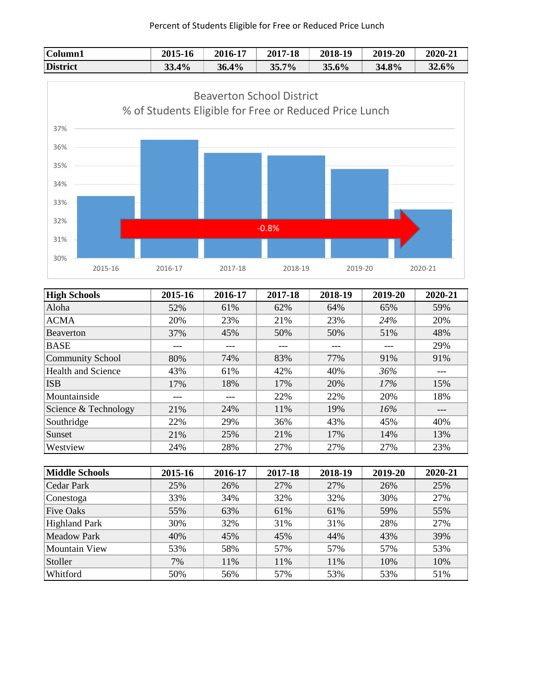## Percent of Students Eligible for Free or Reduced Price Lunch





| <b>High Schools</b>       | 2015-16 | 2016-17 | 2017-18 | 2018-19 | 2019-20 | 2020-21 |
|---------------------------|---------|---------|---------|---------|---------|---------|
| Aloha                     | 52%     | 61%     | 62%     | 64%     | 65%     | 59%     |
| <b>ACMA</b>               | 20%     | 23%     | 21%     | 23%     | 24%     | 20%     |
| <b>Beaverton</b>          | 37%     | 45%     | 50%     | 50%     | 51%     | 48%     |
| <b>BASE</b>               | ---     |         | ---     | ---     | ---     | 29%     |
| <b>Community School</b>   | 80%     | 74%     | 83%     | 77%     | 91%     | 91%     |
| <b>Health and Science</b> | 43%     | 61%     | 42%     | 40%     | 36%     | ---     |
| <b>ISB</b>                | 17%     | 18%     | 17%     | 20%     | 17%     | 15%     |
| Mountainside              | ---     |         | 22%     | 22%     | 20%     | 18%     |
| Science & Technology      | 21%     | 24%     | 11%     | 19%     | 16%     | ---     |
| Southridge                | 22%     | 29%     | 36%     | 43%     | 45%     | 40%     |
| Sunset                    | 21%     | 25%     | 21%     | 17%     | 14%     | 13%     |
| Westview                  | 24%     | 28%     | 27%     | 27%     | 27%     | 23%     |

| Middle Schools       | 2015-16 | 2016-17 | 2017-18 | 2018-19 | 2019-20 | 2020-21 |
|----------------------|---------|---------|---------|---------|---------|---------|
| Cedar Park           | 25%     | 26%     | 27%     | 27%     | 26%     | 25%     |
| Conestoga            | 33%     | 34%     | 32%     | 32%     | 30%     | 27%     |
| <b>Five Oaks</b>     | 55%     | 63%     | 61%     | 61%     | 59%     | 55%     |
| <b>Highland Park</b> | 30%     | 32%     | 31%     | 31%     | 28%     | 27%     |
| Meadow Park          | 40%     | 45%     | 45%     | 44%     | 43%     | 39%     |
| Mountain View        | 53%     | 58%     | 57%     | 57%     | 57%     | 53%     |
| Stoller              | 7%      | 11%     | 11%     | 11%     | 10%     | 10%     |
| Whitford             | 50%     | 56%     | 57%     | 53%     | 53%     | 51%     |